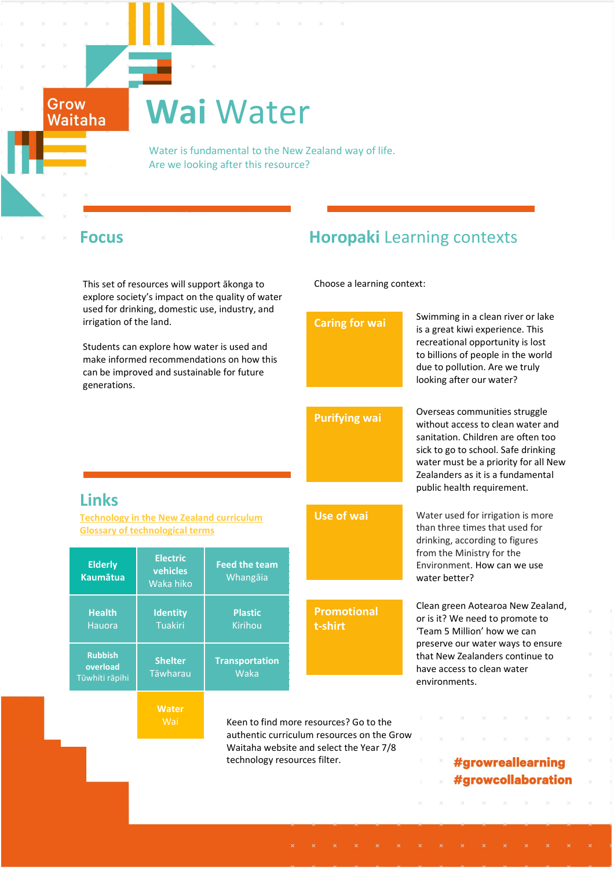# **Wai** Water

 Water is fundamental to the New Zealand way of life. Are we looking after this resource?

Grow Waitaha

**Rubbish overload** Tūwhiti rāpihi

This set of resources will support ākonga to explore society's impact on the quality of water used for drinking irrigation of the

# **Focus Horopaki** Learning contexts

Choose a learning context:

| used for drinking, domestic use, industry, and<br>irrigation of the land.<br>Students can explore how water is used and<br>make informed recommendations on how this<br>can be improved and sustainable for future<br>generations. |                                                                         | <b>Caring for wai</b>                                                                | Swimming in a clean river or lake<br>is a great kiwi experience. This<br>recreational opportunity is lost<br>to billions of people in the world<br>due to pollution. Are we truly<br>looking after our water? |                                                                                                                                                                                                                                                            |
|------------------------------------------------------------------------------------------------------------------------------------------------------------------------------------------------------------------------------------|-------------------------------------------------------------------------|--------------------------------------------------------------------------------------|---------------------------------------------------------------------------------------------------------------------------------------------------------------------------------------------------------------|------------------------------------------------------------------------------------------------------------------------------------------------------------------------------------------------------------------------------------------------------------|
|                                                                                                                                                                                                                                    |                                                                         |                                                                                      | <b>Purifying wai</b>                                                                                                                                                                                          | Overseas communities struggle<br>without access to clean water and<br>sanitation. Children are often too<br>sick to go to school. Safe drinking<br>water must be a priority for all New<br>Zealanders as it is a fundamental<br>public health requirement. |
| <b>Links</b><br><b>Technology in the New Zealand curriculum</b><br><b>Glossary of technological terms</b>                                                                                                                          |                                                                         |                                                                                      | Use of wai                                                                                                                                                                                                    | Water used for irrigation is more<br>than three times that used for<br>drinking, according to figures                                                                                                                                                      |
| <b>Elderly</b><br><b>Kaumātua</b>                                                                                                                                                                                                  | <b>Electric</b><br>vehicles<br>Waka hiko                                | <b>Feed the team</b><br>Whangāia                                                     |                                                                                                                                                                                                               | from the Ministry for the<br>Environment. How can we use<br>water better?                                                                                                                                                                                  |
| <b>Health</b><br><b>Hauora</b>                                                                                                                                                                                                     | <b>Identity</b><br><b>Tuakiri</b>                                       | <b>Plastic</b><br>Kirihou                                                            | <b>Promotional</b><br>t-shirt                                                                                                                                                                                 | Clean green Aotearoa New Zealand,<br>or is it? We need to promote to<br>'Team 5 Million' how we can                                                                                                                                                        |
| <b>Rubbish</b><br>overload<br>ūwhiti rāpihi                                                                                                                                                                                        | <b>Shelter</b><br><b>Tāwharau</b>                                       | <b>Transportation</b><br>Waka                                                        |                                                                                                                                                                                                               | preserve our water ways to ensure<br>that New Zealanders continue to<br>have access to clean water<br>environments.                                                                                                                                        |
|                                                                                                                                                                                                                                    | <b>Water</b><br>Wai                                                     | Keen to find more resources? Go to the<br>authentic curriculum resources on the Grow |                                                                                                                                                                                                               |                                                                                                                                                                                                                                                            |
|                                                                                                                                                                                                                                    | Waitaha website and select the Year 7/8<br>technology resources filter. |                                                                                      | #growreallearning<br>#growcollaboration                                                                                                                                                                       |                                                                                                                                                                                                                                                            |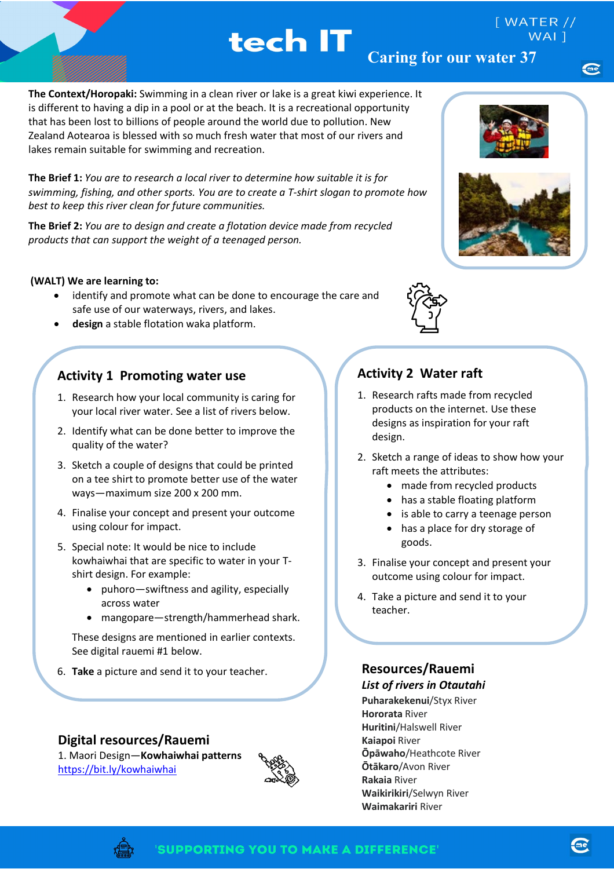# tech IT

**The Context/Horopaki:** Swimming in a clean river or lake is a great kiwi experience. It is different to having a dip in a pool or at the beach. It is a recreational opportunity that has been lost to billions of people around the world due to pollution. New Zealand Aotearoa is blessed with so much fresh water that most of our rivers and lakes remain suitable for swimming and recreation.

**The Brief 1:** *You are to research a local river to determine how suitable it is for swimming, fishing, and other sports. You are to create a T-shirt slogan to promote how best to keep this river clean for future communities.* 

**The Brief 2:** *You are to design and create a flotation device made from recycled products that can support the weight of a teenaged person.* 

#### **(WALT) We are learning to:**

- identify and promote what can be done to encourage the care and safe use of our waterways, rivers, and lakes.
- **design** a stable flotation waka platform.

### **Activity 1 Promoting water use**

- 1. Research how your local community is caring for your local river water. See a list of rivers below.
- 2. Identify what can be done better to improve the quality of the water?
- 3. Sketch a couple of designs that could be printed on a tee shirt to promote better use of the water ways—maximum size 200 x 200 mm.
- 4. Finalise your concept and present your outcome using colour for impact.
- 5. Special note: It would be nice to include kowhaiwhai that are specific to water in your Tshirt design. For example:
	- puhoro—swiftness and agility, especially across water
	- mangopare—strength/hammerhead shark.

These designs are mentioned in earlier contexts. See digital rauemi #1 below.

6. **Take** a picture and send it to your teacher.

**Digital resources/Rauemi**  1. Maori Design—**Kowhaiwhai patterns**





 $[$  WATER  $//$ 





## **Activity 2 Water raft**

- 1. Research rafts made from recycled products on the internet. Use these designs as inspiration for your raft design.
- 2. Sketch a range of ideas to show how your raft meets the attributes:
	- made from recycled products
	- has a stable floating platform
	- is able to carry a teenage person

l

- has a place for dry storage of goods.
- 3. Finalise your concept and present your outcome using colour for impact.
- 4. Take a picture and send it to your teacher.

### **Resources/Rauemi**

*List of rivers in Otautahi*  **Puharakekenui**/Styx River **Hororata** River **Huritini**/Halswell River **Kaiapoi** River **Ōpāwaho**/Heathcote River **Ōtākaro**/Avon River **Rakaia** River **Waikirikiri**/Selwyn River **Waimakariri** River



<https://bit.ly/kowhaiwhai>

me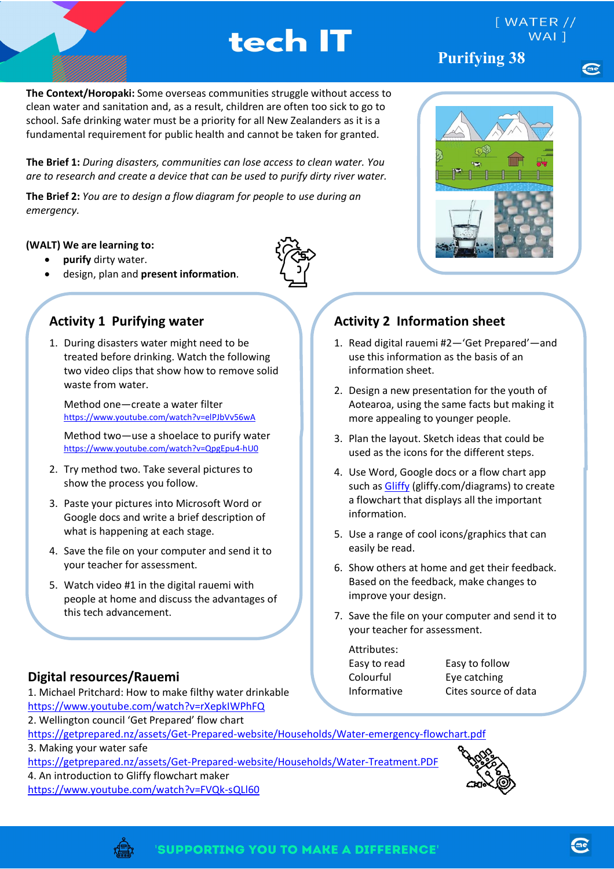# tech IT

**Purifying 38**

 $[$  WATER  $//$ 

**The Context/Horopaki:** Some overseas communities struggle without access to clean water and sanitation and, as a result, children are often too sick to go to school. Safe drinking water must be a priority for all New Zealanders as it is a fundamental requirement for public health and cannot be taken for granted.

**The Brief 1:** *During disasters, communities can lose access to clean water. You are to research and create a device that can be used to purify dirty river water.*

**The Brief 2:** *You are to design a flow diagram for people to use during an emergency.*

#### **(WALT) We are learning to:**

- **purify** dirty water.
- design, plan and **present information**.



## **Activity 1 Purifying water**

1. During disasters water might need to be treated before drinking. Watch the following two video clips that show how to remove solid waste from water.

Method one—create a water filter <https://www.youtube.com/watch?v=elPJbVv56wA>

Method two—use a shoelace to purify water <https://www.youtube.com/watch?v=QpgEpu4-hU0>

- 2. Try method two. Take several pictures to show the process you follow.
- 3. Paste your pictures into Microsoft Word or Google docs and write a brief description of what is happening at each stage.
- 4. Save the file on your computer and send it to your teacher for assessment.
- 5. Watch video #1 in the digital rauemi with people at home and discuss the advantages of this tech advancement.

### **Digital resources/Rauemi**

1. Michael Pritchard: How to make filthy water drinkable <https://www.youtube.com/watch?v=rXepkIWPhFQ> 2. Wellington council 'Get Prepared' flow chart

# **Activity 2 Information sheet**

- 1. Read digital rauemi #2—'Get Prepared'—and use this information as the basis of an information sheet.
- 2. Design a new presentation for the youth of Aotearoa, using the same facts but making it more appealing to younger people.
- 3. Plan the layout. Sketch ideas that could be used as the icons for the different steps.
- 4. Use Word, Google docs or a flow chart app such as [Gliffy](https://www.gliffy.com/diagrams) (gliffy.com/diagrams) to create a flowchart that displays all the important information.
- 5. Use a range of cool icons/graphics that can easily be read.
- 6. Show others at home and get their feedback. Based on the feedback, make changes to improve your design.
- 7. Save the file on your computer and send it to your teacher for assessment.

| Attributes:  |  |  |  |  |
|--------------|--|--|--|--|
| Easy to read |  |  |  |  |
| Colourful    |  |  |  |  |
| Informative  |  |  |  |  |

Easy to follow Eye catching Cites source of data

<https://getprepared.nz/assets/Get-Prepared-website/Households/Water-emergency-flowchart.pdf>

3. Making your water safe

<https://getprepared.nz/assets/Get-Prepared-website/Households/Water-Treatment.PDF>

4. An introduction to Gliffy flowchart maker

<https://www.youtube.com/watch?v=FVQk-sQLl60>



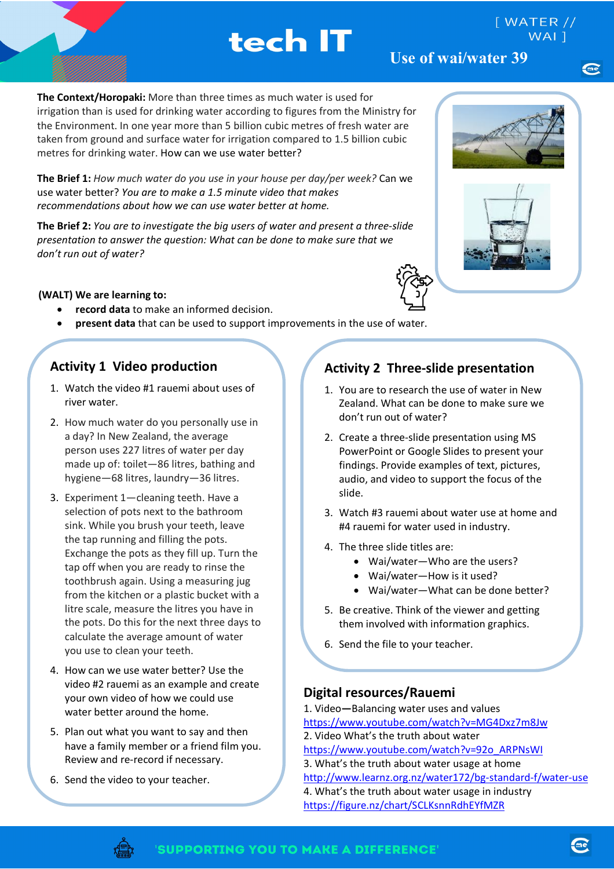tech IT

**The Context/Horopaki:** More than three times as much water is used for irrigation than is used for drinking water according to figures from the Ministry for the Environment. In one year more than 5 billion cubic metres of fresh water are taken from ground and surface water for irrigation compared to 1.5 billion cubic metres for drinking water. How can we use water better?

**The Brief 1:** *How much water do you use in your house per day/per week?* Can we use water better? *You are to make a 1.5 minute video that makes recommendations about how we can use water better at home.* 

**The Brief 2:** *You are to investigate the big users of water and present a three-slide presentation to answer the question: What can be done to make sure that we don't run out of water?*

#### **(WALT) We are learning to:**

- **record data** to make an informed decision.
- **present data** that can be used to support improvements in the use of water.

#### **Activity 1 Video production**

- 1. Watch the video #1 rauemi about uses of river water.
- 2. How much water do you personally use in a day? In New Zealand, the average person uses 227 litres of water per day made up of: toilet—86 litres, bathing and hygiene—68 litres, laundry—36 litres.
- 3. Experiment 1—cleaning teeth. Have a selection of pots next to the bathroom sink. While you brush your teeth, leave the tap running and filling the pots. Exchange the pots as they fill up. Turn the tap off when you are ready to rinse the toothbrush again. Using a measuring jug from the kitchen or a plastic bucket with a litre scale, measure the litres you have in the pots. Do this for the next three days to calculate the average amount of water you use to clean your teeth.
- 4. How can we use water better? Use the video #2 rauemi as an example and create your own video of how we could use water better around the home.
- 5. Plan out what you want to say and then have a family member or a friend film you. Review and re-record if necessary.
- 6. Send the video to your teacher.

#### **Activity 2 Three-slide presentation**

- 1. You are to research the use of water in New Zealand. What can be done to make sure we don't run out of water?
- 2. Create a three-slide presentation using MS PowerPoint or Google Slides to present your findings. Provide examples of text, pictures, audio, and video to support the focus of the slide.
- 3. Watch #3 rauemi about water use at home and #4 rauemi for water used in industry.
- 4. The three slide titles are:
	- Wai/water—Who are the users?
	- Wai/water—How is it used?
	- Wai/water—What can be done better?
- 5. Be creative. Think of the viewer and getting them involved with information graphics.
- 6. Send the file to your teacher.

#### **Digital resources/Rauemi**

- 1. Video**—**Balancing water uses and values <https://www.youtube.com/watch?v=MG4Dxz7m8Jw> 2. Video What's the truth about water [https://www.youtube.com/watch?v=92o\\_ARPNsWI](https://www.youtube.com/watch?v=92o_ARPNsWI) 3. What's the truth about water usage at home <http://www.learnz.org.nz/water172/bg-standard-f/water-use> 4. What's the truth about water usage in industry
- <https://figure.nz/chart/SCLKsnnRdhEYfMZR>







 $[$  WATER  $//$